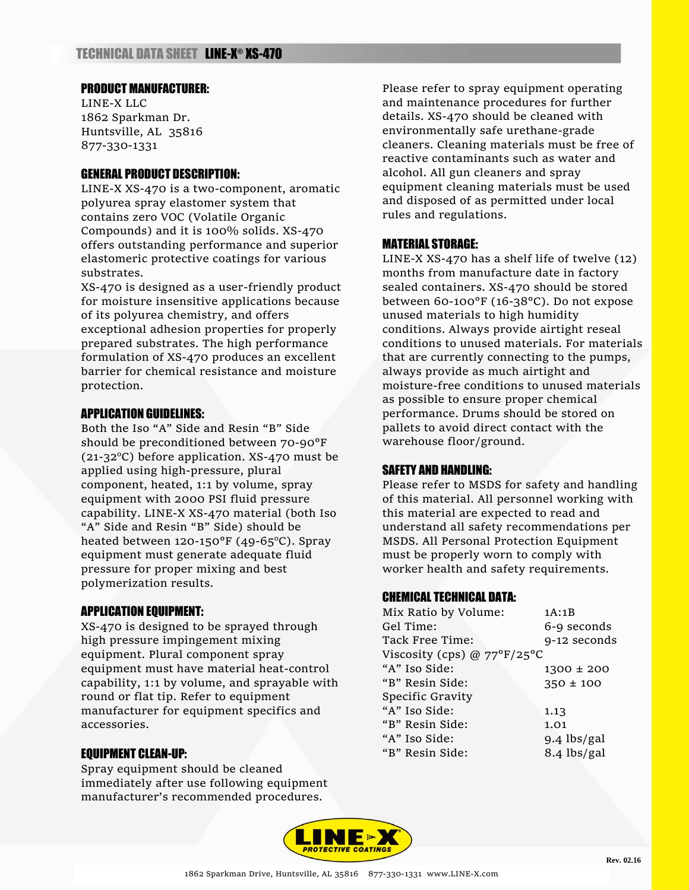# PRODUCT MANUFACTURER:

LINE-X LLC 1862 Sparkman Dr. Huntsville, AL 35816 877-330-1331

# GENERAL PRODUCT DESCRIPTION:

LINE-X XS-470 is a two-component, aromatic polyurea spray elastomer system that contains zero VOC (Volatile Organic Compounds) and it is 100% solids. XS-470 offers outstanding performance and superior elastomeric protective coatings for various substrates.

XS-470 is designed as a user-friendly product for moisture insensitive applications because of its polyurea chemistry, and offers exceptional adhesion properties for properly prepared substrates. The high performance formulation of XS-470 produces an excellent barrier for chemical resistance and moisture protection.

## APPLICATION GUIDELINES:

Both the Iso "A" Side and Resin "B" Side should be preconditioned between 70-90°F (21-32 $\degree$ C) before application. XS-470 must be applied using high-pressure, plural component, heated, 1:1 by volume, spray equipment with 2000 PSI fluid pressure capability. LINE-X XS-470 material (both Iso "A" Side and Resin "B" Side) should be heated between  $120-150$ °F (49-65°C). Spray equipment must generate adequate fluid pressure for proper mixing and best polymerization results.

## APPLICATION EQUIPMENT:

XS-470 is designed to be sprayed through high pressure impingement mixing equipment. Plural component spray equipment must have material heat-control capability, 1:1 by volume, and sprayable with round or flat tip. Refer to equipment manufacturer for equipment specifics and accessories.

## EQUIPMENT CLEAN-UP:

Spray equipment should be cleaned immediately after use following equipment manufacturer's recommended procedures.

Please refer to spray equipment operating and maintenance procedures for further details. XS-470 should be cleaned with environmentally safe urethane-grade cleaners. Cleaning materials must be free of reactive contaminants such as water and alcohol. All gun cleaners and spray equipment cleaning materials must be used and disposed of as permitted under local rules and regulations.

#### MATERIAL STORAGE:

LINE-X XS-470 has a shelf life of twelve (12) months from manufacture date in factory sealed containers. XS-470 should be stored between 60-100°F (16-38°C). Do not expose unused materials to high humidity conditions. Always provide airtight reseal conditions to unused materials. For materials that are currently connecting to the pumps, always provide as much airtight and moisture-free conditions to unused materials as possible to ensure proper chemical performance. Drums should be stored on pallets to avoid direct contact with the warehouse floor/ground.

## SAFETY AND HANDLING:

Please refer to MSDS for safety and handling of this material. All personnel working with this material are expected to read and understand all safety recommendations per MSDS. All Personal Protection Equipment must be properly worn to comply with worker health and safety requirements.

#### CHEMICAL TECHNICAL DATA:

| Mix Ratio by Volume:                        | 1A:1B          |
|---------------------------------------------|----------------|
| Gel Time:                                   | 6-9 seconds    |
| Tack Free Time:                             | 9-12 seconds   |
| Viscosity (cps) @ $77^{\circ}F/25^{\circ}C$ |                |
| "A" Iso Side:                               | $1300 \pm 200$ |
| "B" Resin Side:                             | $350 \pm 100$  |
| Specific Gravity                            |                |
| "A" Iso Side:                               | 1.13           |
| "B" Resin Side:                             | 1.01           |
| "A" Iso Side:                               | 9.4 lbs/gal    |
| "B" Resin Side:                             | 8.4 lbs/gal    |